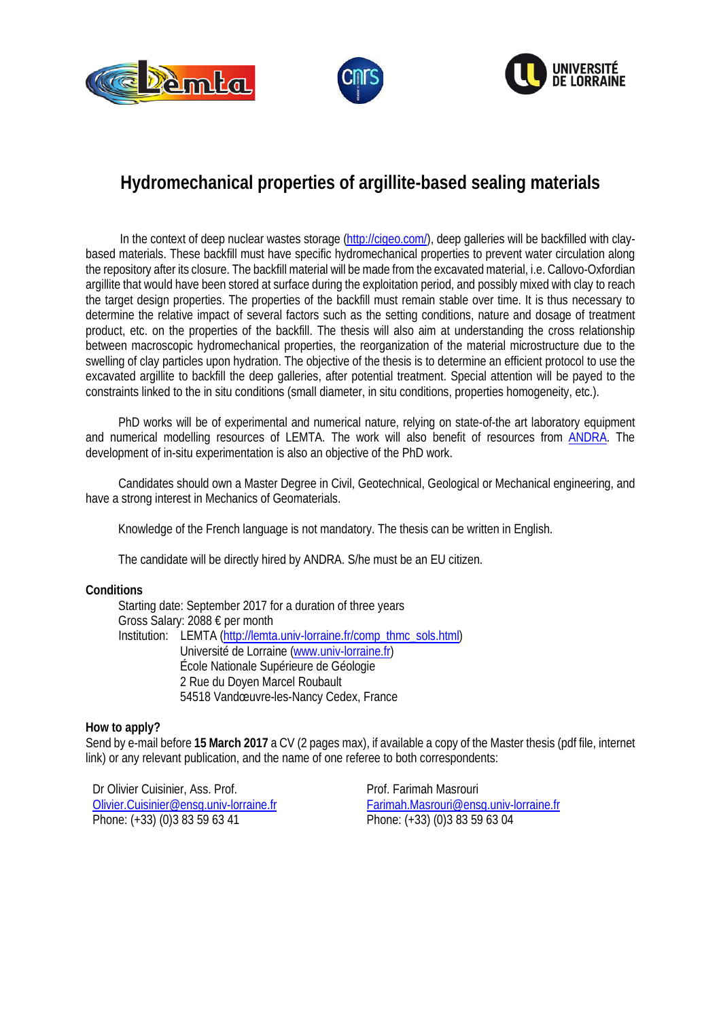





## **Hydromechanical properties of argillite-based sealing materials**

In the context of deep nuclear wastes storage [\(http://cigeo.com/\)](http://cigeo.com/), deep galleries will be backfilled with claybased materials. These backfill must have specific hydromechanical properties to prevent water circulation along the repository after its closure. The backfill material will be made from the excavated material, i.e. Callovo-Oxfordian argillite that would have been stored at surface during the exploitation period, and possibly mixed with clay to reach the target design properties. The properties of the backfill must remain stable over time. It is thus necessary to determine the relative impact of several factors such as the setting conditions, nature and dosage of treatment product, etc. on the properties of the backfill. The thesis will also aim at understanding the cross relationship between macroscopic hydromechanical properties, the reorganization of the material microstructure due to the swelling of clay particles upon hydration. The objective of the thesis is to determine an efficient protocol to use the excavated argillite to backfill the deep galleries, after potential treatment. Special attention will be payed to the constraints linked to the in situ conditions (small diameter, in situ conditions, properties homogeneity, etc.).

PhD works will be of experimental and numerical nature, relying on state-of-the art laboratory equipment and numerical modelling resources of LEMTA. The work will also benefit of resources from [ANDRA.](http://www.andra.fr/international/) The development of in-situ experimentation is also an objective of the PhD work.

Candidates should own a Master Degree in Civil, Geotechnical, Geological or Mechanical engineering, and have a strong interest in Mechanics of Geomaterials.

Knowledge of the French language is not mandatory. The thesis can be written in English.

The candidate will be directly hired by ANDRA. S/he must be an EU citizen.

## **Conditions**

Starting date: September 2017 for a duration of three years Gross Salary: 2088 € per month Institution: LEMTA [\(http://lemta.univ-lorraine.fr/comp\\_thmc\\_sols.html\)](http://lemta.univ-lorraine.fr/comp_thmc_sols.html) Université de Lorraine [\(www.univ-lorraine.fr\)](http://www.univ-lorraine.fr/) École Nationale Supérieure de Géologie 2 Rue du Doyen Marcel Roubault 54518 Vandœuvre-les-Nancy Cedex, France

## **How to apply?**

Send by e-mail before **15 March 2017** a CV (2 pages max), if available a copy of the Master thesis (pdf file, internet link) or any relevant publication, and the name of one referee to both correspondents:

Dr Olivier Cuisinier, Ass. Prof. [Olivier.Cuisinier@ensg.univ-lorraine.fr](mailto:Olivier.Cuisinier@ensg.univ-lorraine.fr) Phone: (+33) (0)3 83 59 63 41

Prof. Farimah Masrouri [Farimah.Masrouri@ensg.univ-lorraine.fr](mailto:Farimah.Masrouri@ensg.univ-lorraine.fr) Phone: (+33) (0)3 83 59 63 04